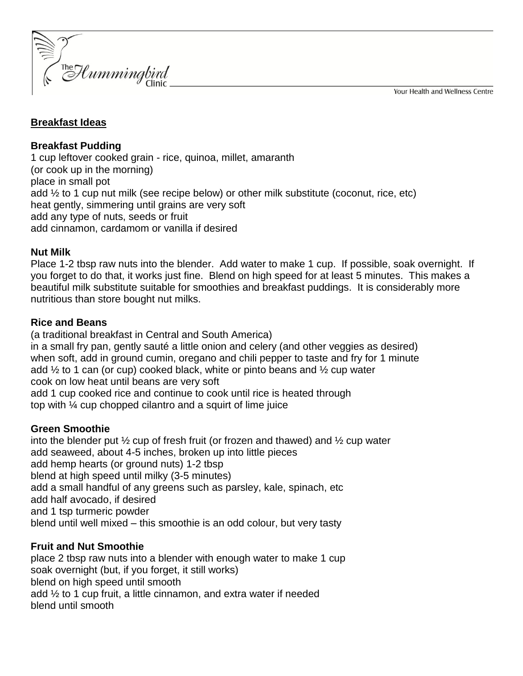Your Health and Wellness Centre



## **Breakfast Ideas**

**Breakfast Pudding** 1 cup leftover cooked grain - rice, quinoa, millet, amaranth (or cook up in the morning) place in small pot add ½ to 1 cup nut milk (see recipe below) or other milk substitute (coconut, rice, etc) heat gently, simmering until grains are very soft add any type of nuts, seeds or fruit add cinnamon, cardamom or vanilla if desired

### **Nut Milk**

Place 1-2 tbsp raw nuts into the blender. Add water to make 1 cup. If possible, soak overnight. If you forget to do that, it works just fine. Blend on high speed for at least 5 minutes. This makes a beautiful milk substitute suitable for smoothies and breakfast puddings. It is considerably more nutritious than store bought nut milks.

## **Rice and Beans**

(a traditional breakfast in Central and South America) in a small fry pan, gently sauté a little onion and celery (and other veggies as desired) when soft, add in ground cumin, oregano and chili pepper to taste and fry for 1 minute add  $\frac{1}{2}$  to 1 can (or cup) cooked black, white or pinto beans and  $\frac{1}{2}$  cup water cook on low heat until beans are very soft add 1 cup cooked rice and continue to cook until rice is heated through top with ¼ cup chopped cilantro and a squirt of lime juice

# **Green Smoothie**

into the blender put  $\frac{1}{2}$  cup of fresh fruit (or frozen and thawed) and  $\frac{1}{2}$  cup water add seaweed, about 4-5 inches, broken up into little pieces add hemp hearts (or ground nuts) 1-2 tbsp blend at high speed until milky (3-5 minutes) add a small handful of any greens such as parsley, kale, spinach, etc add half avocado, if desired and 1 tsp turmeric powder blend until well mixed – this smoothie is an odd colour, but very tasty

# **Fruit and Nut Smoothie**

place 2 tbsp raw nuts into a blender with enough water to make 1 cup soak overnight (but, if you forget, it still works) blend on high speed until smooth add ½ to 1 cup fruit, a little cinnamon, and extra water if needed blend until smooth